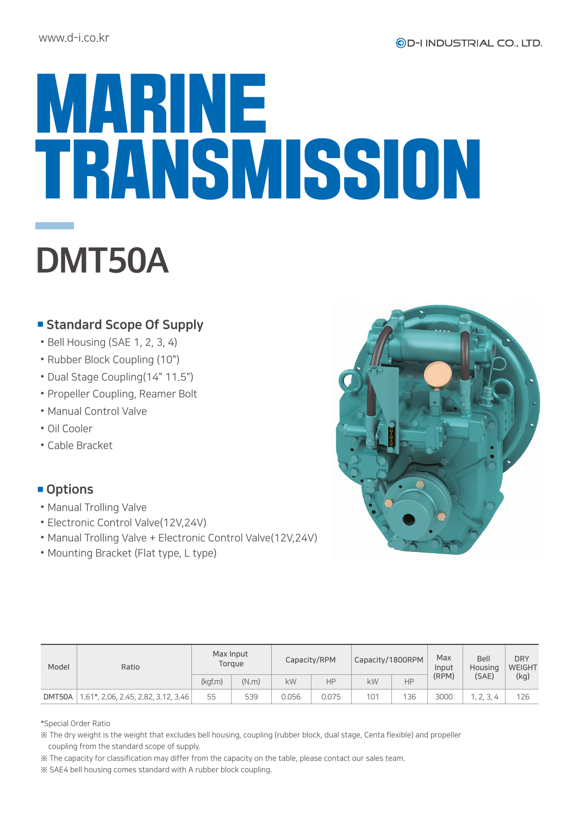## MARINE TRANSMISSION DMT50A

## ■ Standard Scope Of Supply

- •Bell Housing (SAE 1, 2, 3, 4)
- •Rubber Block Coupling (10")
- •Dual Stage Coupling(14" 11.5")
- •Propeller Coupling, Reamer Bolt
- •Manual Control Valve
- •Oil Cooler
- •Cable Bracket

## ■ Options

- •Manual Trolling Valve
- •Electronic Control Valve(12V,24V)
- •Manual Trolling Valve + Electronic Control Valve(12V,24V)
- •Mounting Bracket (Flat type, L type)

| D<br>$\overline{C}$<br>۰<br>č<br>2004年8月1日<br>5 |  |
|-------------------------------------------------|--|
|                                                 |  |

| Model  | Ratio                               | Max Input<br>Torgue |       | Capacity/RPM |       | Capacity/1800RPM |     | Max<br>Input   | Bell<br>Housing | <b>DRY</b><br><b>WEIGHT</b> |
|--------|-------------------------------------|---------------------|-------|--------------|-------|------------------|-----|----------------|-----------------|-----------------------------|
|        |                                     | (kgf.m)             | (N.m) | kW           | HP    | kW               | HP  | (RPM)<br>(SAE) | (kg)            |                             |
| DMT50A | 1.61*, 2.06, 2.45, 2.82, 3.12, 3.46 | 55                  | 539   | 0.056        | 0.075 | 101              | 136 | 3000           | 1, 2, 3, 4      | 126                         |

\*Special Order Ratio

※ The dry weight is the weight that excludes bell housing, coupling (rubber block, dual stage, Centa flexible) and propeller coupling from the standard scope of supply.

※ The capacity for classification may differ from the capacity on the table, please contact our sales team.

※ SAE4 bell housing comes standard with A rubber block coupling.